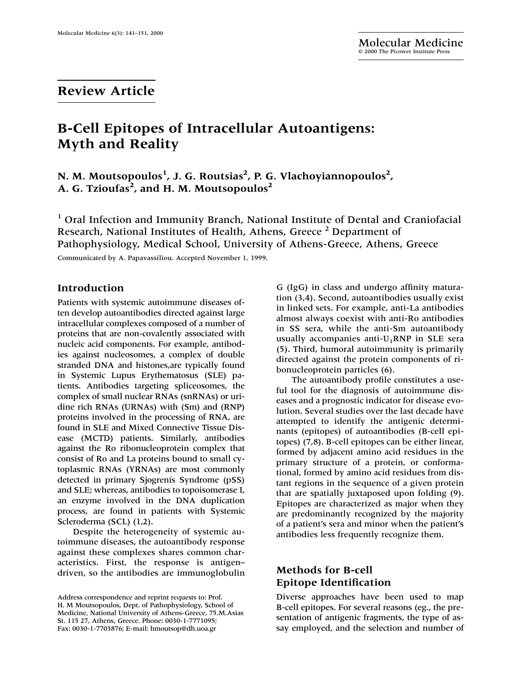# **Review Article**

# **B-Cell Epitopes of Intracellular Autoantigens: Myth and Reality**

**N. M. Moutsopoulos1 , J. G. Routsias<sup>2</sup> , P. G. Vlachoyiannopoulos2 ,** A. G. Tzioufas<sup>2</sup>, and H. M. Moutsopoulos<sup>2</sup>

<sup>1</sup> Oral Infection and Immunity Branch, National Institute of Dental and Craniofacial Research, National Institutes of Health, Athens, Greece<sup>2</sup> Department of Pathophysiology, Medical School, University of Athens-Greece, Athens, Greece

Communicated by A. Papavassiliou. Accepted November 1, 1999.

### **Introduction**

Patients with systemic autoimmune diseases often develop autoantibodies directed against large intracellular complexes composed of a number of proteins that are non-covalently associated with nucleic acid components. For example, antibodies against nucleosomes, a complex of double stranded DNA and histones,are typically found in Systemic Lupus Erythematosus (SLE) patients. Antibodies targeting spliceosomes, the complex of small nuclear RNAs (snRNAs) or uridine rich RNAs (URNAs) with (Sm) and (RNP) proteins involved in the processing of RNA, are found in SLE and Mixed Connective Tissue Disease (MCTD) patients. Similarly, antibodies against the Ro ribonucleoprotein complex that consist of Ro and La proteins bound to small cytoplasmic RNAs (YRNAs) are most commonly detected in primary Sjogrenís Syndrome (pSS) and SLE; whereas, antibodies to topoisomerase I, an enzyme involved in the DNA duplication process, are found in patients with Systemic Scleroderma (SCL) (1,2).

Despite the heterogeneity of systemic autoimmune diseases, the autoantibody response against these complexes shares common characteristics. First, the response is antigen– driven, so the antibodies are immunoglobulin G (IgG) in class and undergo affinity maturation (3,4). Second, autoantibodies usually exist in linked sets. For example, anti-La antibodies almost always coexist with anti-Ro antibodies in SS sera, while the anti-Sm autoantibody usually accompanies anti- $U_1RNP$  in SLE sera (5). Third, humoral autoimmunity is primarily directed against the protein components of ribonucleoprotein particles (6).

The autoantibody profile constitutes a useful tool for the diagnosis of autoimmune diseases and a prognostic indicator for disease evolution. Several studies over the last decade have attempted to identify the antigenic determinants (epitopes) of autoantibodies (B-cell epitopes) (7,8). B-cell epitopes can be either linear, formed by adjacent amino acid residues in the primary structure of a protein, or conformational, formed by amino acid residues from distant regions in the sequence of a given protein that are spatially juxtaposed upon folding (9). Epitopes are characterized as major when they are predominantly recognized by the majority of a patient's sera and minor when the patient's antibodies less frequently recognize them.

# **Methods for B-cell Epitope Identification**

Diverse approaches have been used to map B-cell epitopes. For several reasons (eg., the presentation of antigenic fragments, the type of assay employed, and the selection and number of

Address correspondence and reprint requests to: Prof. H. M Moutsopoulos, Dept. of Pathophysiology, School of Medicine, National University of Athens-Greece, 75.M.Asias St. 115 27, Athens, Greece. Phone: 0030-1-7771095; Fax: 0030-1-7703876; E-mail: hmoutsop@dh.uoa.gr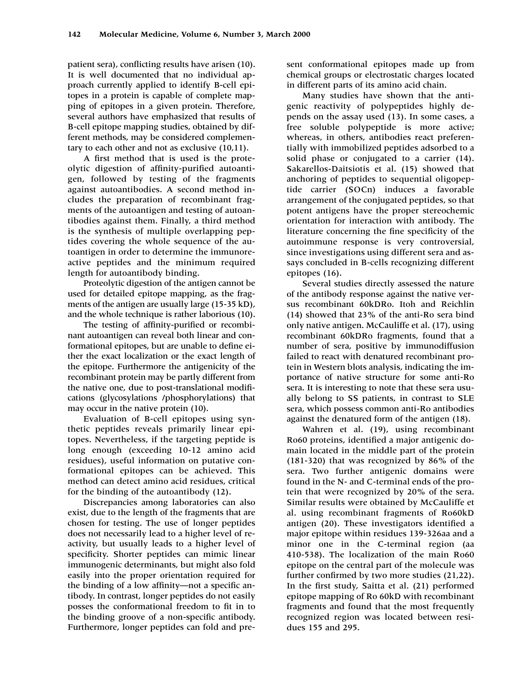patient sera), conflicting results have arisen (10). It is well documented that no individual approach currently applied to identify B-cell epitopes in a protein is capable of complete mapping of epitopes in a given protein. Therefore, several authors have emphasized that results of B-cell epitope mapping studies, obtained by different methods, may be considered complementary to each other and not as exclusive (10,11).

A first method that is used is the proteolytic digestion of affinity-purified autoantigen, followed by testing of the fragments against autoantibodies. A second method includes the preparation of recombinant fragments of the autoantigen and testing of autoantibodies against them. Finally, a third method is the synthesis of multiple overlapping peptides covering the whole sequence of the autoantigen in order to determine the immunoreactive peptides and the minimum required length for autoantibody binding.

Proteolytic digestion of the antigen cannot be used for detailed epitope mapping, as the fragments of the antigen are usually large (15-35 kD), and the whole technique is rather laborious (10).

The testing of affinity-purified or recombinant autoantigen can reveal both linear and conformational epitopes, but are unable to define either the exact localization or the exact length of the epitope. Furthermore the antigenicity of the recombinant protein may be partly different from the native one, due to post-translational modifications (glycosylations /phosphorylations) that may occur in the native protein (10).

Evaluation of B-cell epitopes using synthetic peptides reveals primarily linear epitopes. Nevertheless, if the targeting peptide is long enough (exceeding 10-12 amino acid residues), useful information on putative conformational epitopes can be achieved. This method can detect amino acid residues, critical for the binding of the autoantibody (12).

Discrepancies among laboratories can also exist, due to the length of the fragments that are chosen for testing. The use of longer peptides does not necessarily lead to a higher level of reactivity, but usually leads to a higher level of specificity. Shorter peptides can mimic linear immunogenic determinants, but might also fold easily into the proper orientation required for the binding of a low affinity—not a specific antibody. In contrast, longer peptides do not easily posses the conformational freedom to fit in to the binding groove of a non-specific antibody. Furthermore, longer peptides can fold and present conformational epitopes made up from chemical groups or electrostatic charges located in different parts of its amino acid chain.

Many studies have shown that the antigenic reactivity of polypeptides highly depends on the assay used (13). In some cases, a free soluble polypeptide is more active; whereas, in others, antibodies react preferentially with immobilized peptides adsorbed to a solid phase or conjugated to a carrier (14). Sakarellos-Daitsiotis et al. (15) showed that anchoring of peptides to sequential oligopeptide carrier (SOCn) induces a favorable arrangement of the conjugated peptides, so that potent antigens have the proper stereochemic orientation for interaction with antibody. The literature concerning the fine specificity of the autoimmune response is very controversial, since investigations using different sera and assays concluded in B-cells recognizing different epitopes (16).

Several studies directly assessed the nature of the antibody response against the native versus recombinant 60kDRo. Itoh and Reichlin (14) showed that 23% of the anti-Ro sera bind only native antigen. McCauliffe et al. (17), using recombinant 60kDRo fragments, found that a number of sera, positive by immunodiffusion failed to react with denatured recombinant protein in Western blots analysis, indicating the importance of native structure for some anti-Ro sera. It is interesting to note that these sera usually belong to SS patients, in contrast to SLE sera, which possess common anti-Ro antibodies against the denatured form of the antigen (18).

Wahren et al. (19), using recombinant Ro60 proteins, identified a major antigenic domain located in the middle part of the protein (181-320) that was recognized by 86% of the sera. Two further antigenic domains were found in the N- and C-terminal ends of the protein that were recognized by 20% of the sera. Similar results were obtained by McCauliffe et al. using recombinant fragments of Ro60kD antigen (20). These investigators identified a major epitope within residues 139-326aa and a minor one in the C-terminal region (aa 410-538). The localization of the main Ro60 epitope on the central part of the molecule was further confirmed by two more studies (21,22). In the first study, Saitta et al. (21) performed epitope mapping of Ro 60kD with recombinant fragments and found that the most frequently recognized region was located between residues 155 and 295.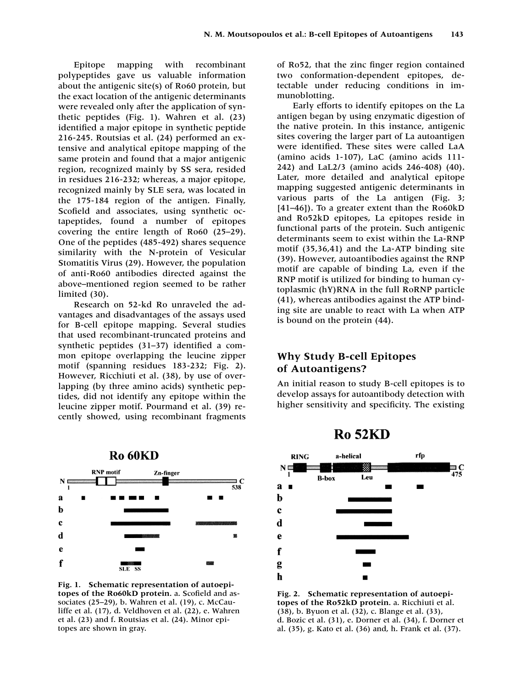Epitope mapping with recombinant polypeptides gave us valuable information about the antigenic site(s) of Ro60 protein, but the exact location of the antigenic determinants were revealed only after the application of synthetic peptides (Fig. 1). Wahren et al. (23) identified a major epitope in synthetic peptide 216-245. Routsias et al. (24) performed an extensive and analytical epitope mapping of the same protein and found that a major antigenic region, recognized mainly by SS sera, resided in residues 216-232; whereas, a major epitope, recognized mainly by SLE sera, was located in the 175-184 region of the antigen. Finally, Scofield and associates, using synthetic octapeptides, found a number of epitopes covering the entire length of Ro60 (25–29). One of the peptides (485-492) shares sequence similarity with the N-protein of Vesicular Stomatitis Virus (29). However, the population of anti-Ro60 antibodies directed against the above–mentioned region seemed to be rather limited (30).

Research on 52-kd Ro unraveled the advantages and disadvantages of the assays used for B-cell epitope mapping. Several studies that used recombinant-truncated proteins and synthetic peptides (31–37) identified a common epitope overlapping the leucine zipper motif (spanning residues 183-232; Fig. 2). However, Ricchiuti et al. (38), by use of overlapping (by three amino acids) synthetic peptides, did not identify any epitope within the leucine zipper motif. Pourmand et al. (39) recently showed, using recombinant fragments



**Fig. 1. Schematic representation of autoepitopes of the Ro60kD protein.** a. Scofield and associates (25–29), b. Wahren et al. (19), c. McCauliffe et al. (17), d. Veldhoven et al. (22), e. Wahren et al. (23) and f. Routsias et al. (24). Minor epitopes are shown in gray.

of Ro52, that the zinc finger region contained two conformation-dependent epitopes, detectable under reducing conditions in immunoblotting.

Early efforts to identify epitopes on the La antigen began by using enzymatic digestion of the native protein. In this instance, antigenic sites covering the larger part of La autoantigen were identified. These sites were called LaA (amino acids 1-107), LaC (amino acids 111- 242) and LaL2/3 (amino acids 246-408) (40). Later, more detailed and analytical epitope mapping suggested antigenic determinants in various parts of the La antigen (Fig. 3; [41–46]). To a greater extent than the Ro60kD and Ro52kD epitopes, La epitopes reside in functional parts of the protein. Such antigenic determinants seem to exist within the La-RNP motif (35,36,41) and the La-ATP binding site (39). However, autoantibodies against the RNP motif are capable of binding La, even if the RNP motif is utilized for binding to human cytoplasmic (hY)RNA in the full RoRNP particle (41), whereas antibodies against the ATP binding site are unable to react with La when ATP is bound on the protein (44).

## **Why Study B-cell Epitopes of Autoantigens?**

An initial reason to study B-cell epitopes is to develop assays for autoantibody detection with higher sensitivity and specificity. The existing

**Ro 52KD** 



**Fig. 2. Schematic representation of autoepitopes of the Ro52kD protein.** a. Ricchiuti et al. (38), b. Byuon et al. (32), c. Blange et al. (33), d. Bozic et al. (31), e. Dorner et al. (34), f. Dorner et al. (35), g. Kato et al. (36) and, h. Frank et al. (37).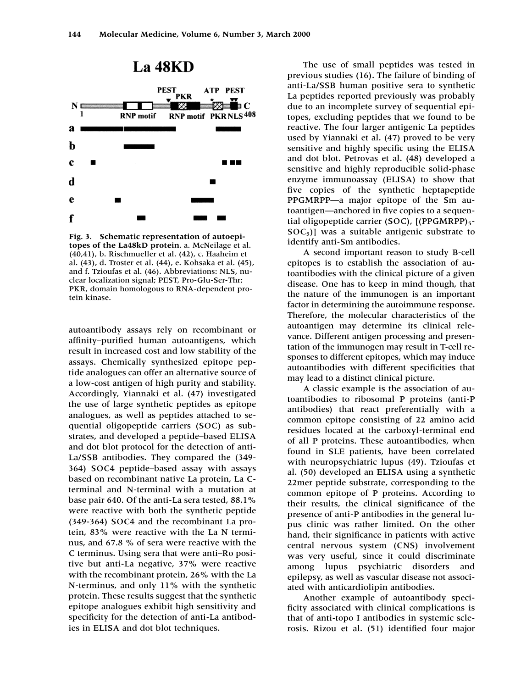

**Fig. 3. Schematic representation of autoepitopes of the La48kD protein.** a. McNeilage et al. (40,41), b. Rischmueller et al. (42), c. Haaheim et al. (43), d. Troster et al. (44), e. Kohsaka et al. (45), and f. Tzioufas et al. (46). Abbreviations: NLS, nuclear localization signal; PEST, Pro-Glu-Ser-Thr; PKR, domain homologous to RNA-dependent protein kinase.

autoantibody assays rely on recombinant or affinity–purified human autoantigens, which result in increased cost and low stability of the assays. Chemically synthesized epitope peptide analogues can offer an alternative source of a low-cost antigen of high purity and stability. Accordingly, Yiannaki et al. (47) investigated the use of large synthetic peptides as epitope analogues, as well as peptides attached to sequential oligopeptide carriers (SOC) as substrates, and developed a peptide–based ELISA and dot blot protocol for the detection of anti-La/SSB antibodies. They compared the (349- 364) SOC4 peptide–based assay with assays based on recombinant native La protein, La Cterminal and N-terminal with a mutation at base pair 640. Of the anti-La sera tested, 88.1% were reactive with both the synthetic peptide (349-364) SOC4 and the recombinant La protein, 83% were reactive with the La N terminus, and 67.8 % of sera were reactive with the C terminus. Using sera that were anti–Ro positive but anti-La negative, 37% were reactive with the recombinant protein, 26% with the La N-terminus, and only 11% with the synthetic protein. These results suggest that the synthetic epitope analogues exhibit high sensitivity and specificity for the detection of anti-La antibodies in ELISA and dot blot techniques.

The use of small peptides was tested in previous studies (16). The failure of binding of anti-La/SSB human positive sera to synthetic La peptides reported previously was probably due to an incomplete survey of sequential epitopes, excluding peptides that we found to be reactive. The four larger antigenic La peptides used by Yiannaki et al. (47) proved to be very sensitive and highly specific using the ELISA and dot blot. Petrovas et al. (48) developed a sensitive and highly reproducible solid-phase enzyme immunoassay (ELISA) to show that five copies of the synthetic heptapeptide PPGMRPP—a major epitope of the Sm autoantigen—anchored in five copies to a sequential oligopeptide carrier (SOC), [(PPGMRPP)5- $SOC_5$ ] was a suitable antigenic substrate to identify anti-Sm antibodies.

A second important reason to study B-cell epitopes is to establish the association of autoantibodies with the clinical picture of a given disease. One has to keep in mind though, that the nature of the immunogen is an important factor in determining the autoimmune response. Therefore, the molecular characteristics of the autoantigen may determine its clinical relevance. Different antigen processing and presentation of the immunogen may result in T-cell responses to different epitopes, which may induce autoantibodies with different specificities that may lead to a distinct clinical picture.

A classic example is the association of autoantibodies to ribosomal P proteins (anti-P antibodies) that react preferentially with a common epitope consisting of 22 amino acid residues located at the carboxyl-terminal end of all P proteins. These autoantibodies, when found in SLE patients, have been correlated with neuropsychiatric lupus (49). Tzioufas et al. (50) developed an ELISA using a synthetic 22mer peptide substrate, corresponding to the common epitope of P proteins. According to their results, the clinical significance of the presence of anti-P antibodies in the general lupus clinic was rather limited. On the other hand, their significance in patients with active central nervous system (CNS) involvement was very useful, since it could discriminate among lupus psychiatric disorders and epilepsy, as well as vascular disease not associated with anticardiolipin antibodies.

Another example of autoantibody specificity associated with clinical complications is that of anti-topo I antibodies in systemic sclerosis. Rizou et al. (51) identified four major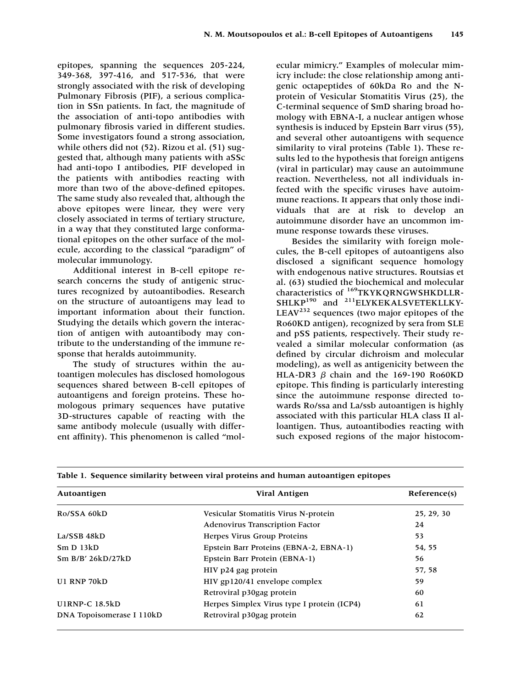epitopes, spanning the sequences 205-224, 349-368, 397-416, and 517-536, that were strongly associated with the risk of developing Pulmonary Fibrosis (PIF), a serious complication in SSn patients. In fact, the magnitude of the association of anti-topo antibodies with pulmonary fibrosis varied in different studies. Some investigators found a strong association, while others did not (52). Rizou et al. (51) suggested that, although many patients with aSSc had anti-topo I antibodies, PIF developed in the patients with antibodies reacting with more than two of the above-defined epitopes. The same study also revealed that, although the above epitopes were linear, they were very closely associated in terms of tertiary structure, in a way that they constituted large conformational epitopes on the other surface of the molecule, according to the classical "paradigm'' of molecular immunology.

Additional interest in B-cell epitope research concerns the study of antigenic structures recognized by autoantibodies. Research on the structure of autoantigens may lead to important information about their function. Studying the details which govern the interaction of antigen with autoantibody may contribute to the understanding of the immune response that heralds autoimmunity.

The study of structures within the autoantigen molecules has disclosed homologous sequences shared between B-cell epitopes of autoantigens and foreign proteins. These homologous primary sequences have putative 3D-structures capable of reacting with the same antibody molecule (usually with different affinity). This phenomenon is called "mol-

ecular mimicry." Examples of molecular mimicry include: the close relationship among antigenic octapeptides of 60kDa Ro and the Nprotein of Vesicular Stomatitis Virus (25), the C-terminal sequence of SmD sharing broad homology with EBNA-I, a nuclear antigen whose synthesis is induced by Epstein Barr virus (55), and several other autoantigens with sequence similarity to viral proteins (Table 1). These results led to the hypothesis that foreign antigens (viral in particular) may cause an autoimmune reaction. Nevertheless, not all individuals infected with the specific viruses have autoimmune reactions. It appears that only those individuals that are at risk to develop an autoimmune disorder have an uncommon immune response towards these viruses.

Besides the similarity with foreign molecules, the B-cell epitopes of autoantigens also disclosed a significant sequence homology with endogenous native structures. Routsias et al. (63) studied the biochemical and molecular characteristics of <sup>169</sup>TKYKQRNGWSHKDLLR-SHLKP<sup>190</sup> and <sup>211</sup>ELYKEKALSVETEKLLKY-LEAV<sup>232</sup> sequences (two major epitopes of the Ro60KD antigen), recognized by sera from SLE and pSS patients, respectively. Their study revealed a similar molecular conformation (as defined by circular dichroism and molecular modeling), as well as antigenicity between the HLA-DR3  $\beta$  chain and the 169-190 Ro60KD epitope. This finding is particularly interesting since the autoimmune response directed towards Ro/ssa and La/ssb autoantigen is highly associated with this particular HLA class II alloantigen. Thus, autoantibodies reacting with such exposed regions of the major histocom-

| Autoantigen               | <b>Viral Antigen</b>                       | Reference(s) |
|---------------------------|--------------------------------------------|--------------|
| Ro/SSA 60kD               | Vesicular Stomatitis Virus N-protein       | 25, 29, 30   |
|                           | <b>Adenovirus Transcription Factor</b>     | 24           |
| La/SSB 48kD               | Herpes Virus Group Proteins                | 53           |
| Sm D 13kD                 | Epstein Barr Proteins (EBNA-2, EBNA-1)     | 54, 55       |
| Sm B/B' 26kD/27kD         | Epstein Barr Protein (EBNA-1)              | 56           |
|                           | HIV p24 gag protein                        | 57, 58       |
| U1 RNP 70kD               | HIV gp120/41 envelope complex              | 59           |
|                           | Retroviral p30gag protein                  | 60           |
| <b>UIRNP-C 18.5kD</b>     | Herpes Simplex Virus type I protein (ICP4) | 61           |
| DNA Topoisomerase I 110kD | Retroviral p30gag protein                  | 62           |

**Table 1. Sequence similarity between viral proteins and human autoantigen epitopes**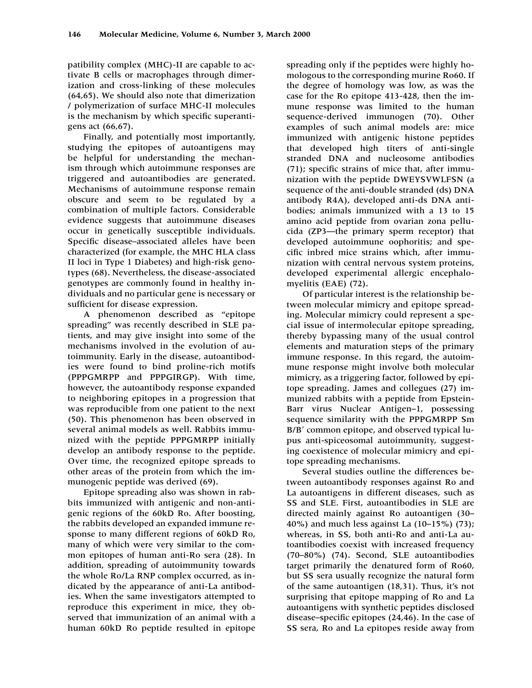patibility complex (MHC)-II are capable to activate B cells or macrophages through dimerization and cross-linking of these molecules (64,65). We should also note that dimerization / polymerization of surface MHC-II molecules is the mechanism by which specific superantigens act (66,67).

Finally, and potentially most importantly, studying the epitopes of autoantigens may be helpful for understanding the mechanism through which autoimmune responses are triggered and autoantibodies are generated. Mechanisms of autoimmune response remain obscure and seem to be regulated by a combination of multiple factors. Considerable evidence suggests that autoimmune diseases occur in genetically susceptible individuals. Specific disease–associated alleles have been characterized (for example, the MHC HLA class II loci in Type 1 Diabetes) and high-risk genotypes (68). Nevertheless, the disease-associated genotypes are commonly found in healthy individuals and no particular gene is necessary or sufficient for disease expression.

A phenomenon described as "epitope spreading" was recently described in SLE patients, and may give insight into some of the mechanisms involved in the evolution of autoimmunity. Early in the disease, autoantibodies were found to bind proline-rich motifs (PPPGMRPP and PPPGIRGP). With time, however, the autoantibody response expanded to neighboring epitopes in a progression that was reproducible from one patient to the next (50). This phenomenon has been observed in several animal models as well. Rabbits immunized with the peptide PPPGMRPP initially develop an antibody response to the peptide. Over time, the recognized epitope spreads to other areas of the protein from which the immunogenic peptide was derived (69).

Epitope spreading also was shown in rabbits immunized with antigenic and non-antigenic regions of the 60kD Ro. After boosting, the rabbits developed an expanded immune response to many different regions of 60kD Ro, many of which were very similar to the common epitopes of human anti-Ro sera (28). In addition, spreading of autoimmunity towards the whole Ro/La RNP complex occurred, as indicated by the appearance of anti-La antibodies. When the same investigators attempted to reproduce this experiment in mice, they observed that immunization of an animal with a human 60kD Ro peptide resulted in epitope spreading only if the peptides were highly homologous to the corresponding murine Ro60. If the degree of homology was low, as was the case for the Ro epitope 413-428, then the immune response was limited to the human sequence-derived immunogen (70). Other examples of such animal models are: mice immunized with antigenic histone peptides that developed high titers of anti-single stranded DNA and nucleosome antibodies (71); specific strains of mice that, after immunization with the peptide DWEYSVWLFSN (a sequence of the anti-double stranded (ds) DNA antibody R4A), developed anti-ds DNA antibodies; animals immunized with a 13 to 15 amino acid peptide from ovarian zona pellucida (ZP3—the primary sperm receptor) that developed autoimmune oophoritis; and specific inbred mice strains which, after immunization with central nervous system proteins, developed experimental allergic encephalomyelitis (EAE) (72).

Of particular interest is the relationship between molecular mimicry and epitope spreading. Molecular mimicry could represent a special issue of intermolecular epitope spreading, thereby bypassing many of the usual control elements and maturation steps of the primary immune response. In this regard, the autoimmune response might involve both molecular mimicry, as a triggering factor, followed by epitope spreading. James and collegues (27) immunized rabbits with a peptide from Epstein-Barr virus Nuclear Antigen–1, possessing sequence similarity with the PPPGMRPP Sm B/B' common epitope, and observed typical lupus anti-spiceosomal autoimmunity, suggesting coexistence of molecular mimicry and epitope spreading mechanisms.

Several studies outline the differences between autoantibody responses against Ro and La autoantigens in different diseases, such as SS and SLE. First, autoantibodies in SLE are directed mainly against Ro autoantigen (30– 40%) and much less against La (10–15%) (73); whereas, in SS, both anti-Ro and anti-La autoantibodies coexist with increased frequency (70–80%) (74). Second, SLE autoantibodies target primarily the denatured form of Ro60, but SS sera usually recognize the natural form of the same autoantigen (18,31). Thus, it's not surprising that epitope mapping of Ro and La autoantigens with synthetic peptides disclosed disease–specific epitopes (24,46). In the case of SS sera, Ro and La epitopes reside away from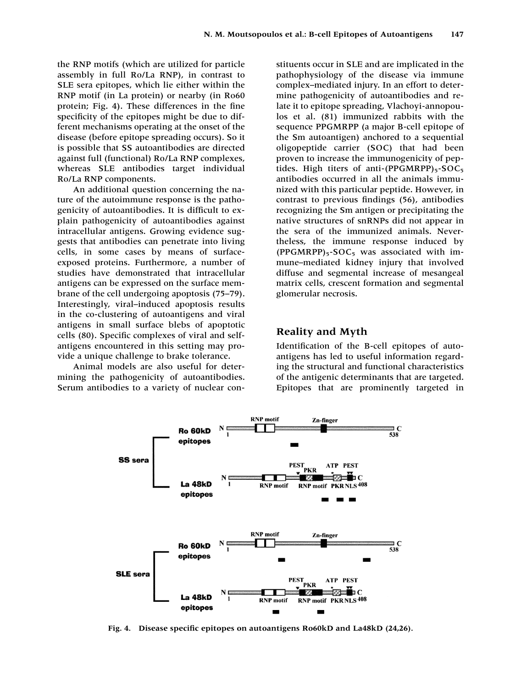the RNP motifs (which are utilized for particle assembly in full Ro/La RNP), in contrast to SLE sera epitopes, which lie either within the RNP motif (in La protein) or nearby (in Ro60 protein; Fig. 4). These differences in the fine specificity of the epitopes might be due to different mechanisms operating at the onset of the disease (before epitope spreading occurs). So it is possible that SS autoantibodies are directed against full (functional) Ro/La RNP complexes, whereas SLE antibodies target individual Ro/La RNP components.

An additional question concerning the nature of the autoimmune response is the pathogenicity of autoantibodies. It is difficult to explain pathogenicity of autoantibodies against intracellular antigens. Growing evidence suggests that antibodies can penetrate into living cells, in some cases by means of surfaceexposed proteins. Furthermore, a number of studies have demonstrated that intracellular antigens can be expressed on the surface membrane of the cell undergoing apoptosis (75–79). Interestingly, viral–induced apoptosis results in the co-clustering of autoantigens and viral antigens in small surface blebs of apoptotic cells (80). Specific complexes of viral and selfantigens encountered in this setting may provide a unique challenge to brake tolerance.

Animal models are also useful for determining the pathogenicity of autoantibodies. Serum antibodies to a variety of nuclear con-

stituents occur in SLE and are implicated in the pathophysiology of the disease via immune complex–mediated injury. In an effort to determine pathogenicity of autoantibodies and relate it to epitope spreading, Vlachoyi-annopoulos et al. (81) immunized rabbits with the sequence PPGMRPP (a major B-cell epitope of the Sm autoantigen) anchored to a sequential oligopeptide carrier (SOC) that had been proven to increase the immunogenicity of peptides. High titers of anti- $(PPGMRPP)_{5}$ -SOC<sub>5</sub> antibodies occurred in all the animals immunized with this particular peptide. However, in contrast to previous findings (56), antibodies recognizing the Sm antigen or precipitating the native structures of snRNPs did not appear in the sera of the immunized animals. Nevertheless, the immune response induced by  $(PPGMRPP)_{5}-SOC_{5}$  was associated with immune–mediated kidney injury that involved diffuse and segmental increase of mesangeal matrix cells, crescent formation and segmental glomerular necrosis.

#### **Reality and Myth**

Identification of the B-cell epitopes of autoantigens has led to useful information regarding the structural and functional characteristics of the antigenic determinants that are targeted. Epitopes that are prominently targeted in



**Fig. 4. Disease specific epitopes on autoantigens Ro60kD and La48kD (24,26).**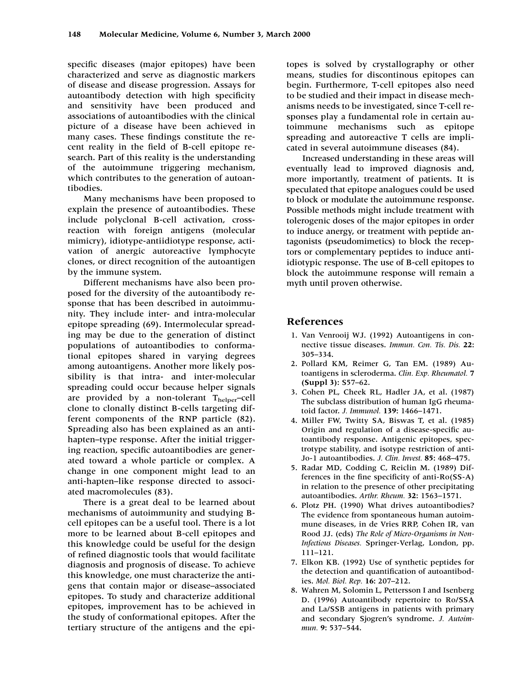specific diseases (major epitopes) have been characterized and serve as diagnostic markers of disease and disease progression. Assays for autoantibody detection with high specificity and sensitivity have been produced and associations of autoantibodies with the clinical picture of a disease have been achieved in many cases. These findings constitute the recent reality in the field of B-cell epitope research. Part of this reality is the understanding of the autoimmune triggering mechanism, which contributes to the generation of autoantibodies.

Many mechanisms have been proposed to explain the presence of autoantibodies. These include polyclonal B-cell activation, crossreaction with foreign antigens (molecular mimicry), idiotype-antiidiotype response, activation of anergic autoreactive lymphocyte clones, or direct recognition of the autoantigen by the immune system.

Different mechanisms have also been proposed for the diversity of the autoantibody response that has been described in autoimmunity. They include inter- and intra-molecular epitope spreading (69). Intermolecular spreading may be due to the generation of distinct populations of autoantibodies to conformational epitopes shared in varying degrees among autoantigens. Another more likely possibility is that intra- and inter-molecular spreading could occur because helper signals are provided by a non-tolerant  $T_{helper}$ -cell clone to clonally distinct B-cells targeting different components of the RNP particle (82). Spreading also has been explained as an antihapten–type response. After the initial triggering reaction, specific autoantibodies are generated toward a whole particle or complex. A change in one component might lead to an anti-hapten–like response directed to associated macromolecules (83).

There is a great deal to be learned about mechanisms of autoimmunity and studying Bcell epitopes can be a useful tool. There is a lot more to be learned about B-cell epitopes and this knowledge could be useful for the design of refined diagnostic tools that would facilitate diagnosis and prognosis of disease. To achieve this knowledge, one must characterize the antigens that contain major or disease–associated epitopes. To study and characterize additional epitopes, improvement has to be achieved in the study of conformational epitopes. After the tertiary structure of the antigens and the epitopes is solved by crystallography or other means, studies for discontinous epitopes can begin. Furthermore, T-cell epitopes also need to be studied and their impact in disease mechanisms needs to be investigated, since T-cell responses play a fundamental role in certain autoimmune mechanisms such as epitope spreading and autoreactive T cells are implicated in several autoimmune diseases (84).

Increased understanding in these areas will eventually lead to improved diagnosis and, more importantly, treatment of patients. It is speculated that epitope analogues could be used to block or modulate the autoimmune response. Possible methods might include treatment with tolerogenic doses of the major epitopes in order to induce anergy, or treatment with peptide antagonists (pseudomimetics) to block the receptors or complementary peptides to induce antiidiotypic response. The use of B-cell epitopes to block the autoimmune response will remain a myth until proven otherwise.

#### **References**

- 1. Van Venrooij WJ. (1992) Autoantigens in connective tissue diseases. *Immun. Con. Tis. Dis.* **22:** 305–334.
- 12. Pollard KM, Reimer G, Tan EM. (1989) Autoantigens in scleroderma. *Clin. Exp. Rheumatol.* **7 (Suppl 3):** S57–62.
- 13. Cohen PL, Cheek RL, Hadler JA, et al. (1987) The subclass distribution of human IgG rheumatoid factor. *J. Immunol.* **139:** 1466–1471.
- 14. Miller FW, Twitty SA, Biswas T, et al. (1985) Origin and regulation of a disease-specific autoantibody response. Antigenic epitopes, spectrotype stability, and isotype restriction of anti-Jo-1 autoantibodies. *J. Clin. Invest.* **85:** 468–475.
- 15. Radar MD, Codding C, Reiclin M. (1989) Differences in the fine specificity of anti-Ro(SS-A) in relation to the presence of other precipitating autoantibodies. *Arthr. Rheum.* **32:** 1563–1571.
- 16. Plotz PH. (1990) What drives autoantibodies? The evidence from spontaneous human autoimmune diseases, in de Vries RRP, Cohen IR, van Rood JJ. (eds) *The Role of Micro-Organisms in Non-Infectious Diseases.* Springer-Verlag, London, pp. 111–121.
- 17. Elkon KB. (1992) Use of synthetic peptides for the detection and quantification of autoantibodies. *Mol. Biol. Rep.* **16:** 207–212.
- 8. Wahren M, Solomin L, Pettersson I and Isenberg D. (1996) Autoantibody repertoire to Ro/SSA and La/SSB antigens in patients with primary and secondary Sjogren's syndrome. *J. Autoimmun.* **9:** 537–544.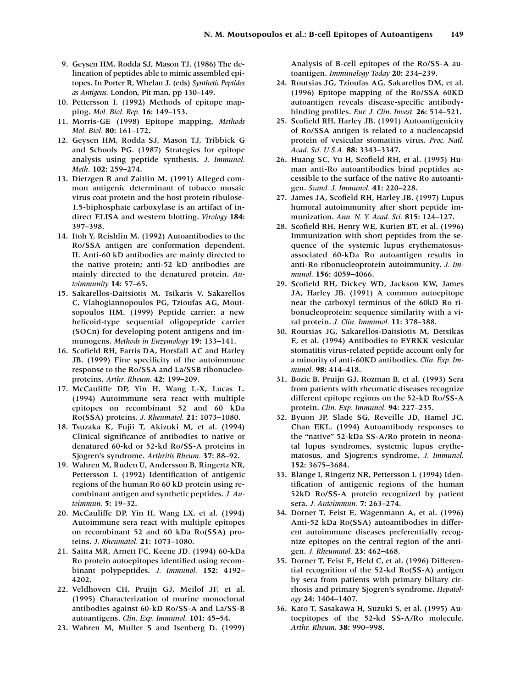- 19. Geysen HM, Rodda SJ, Mason TJ. (1986) The delineation of peptides able to mimic assembled epitopes. In Porter R, Whelan J. (eds) *Synthetic Peptides as Antigens.* London, Pit man, pp 130–149.
- 10. Pettersson I. (1992) Methods of epitope mapping. *Mol. Biol. Rep.* **16:** 149–153.
- 11. Morris-GE (1998) Epitope mapping. *Methods Mol. Biol.* **80:** 161–172.
- 12. Geysen HM, Rodda SJ, Mason TJ, Tribbick G and Schoofs PG. (1987) Strategies for epitope analysis using peptide synthesis. *J. Immunol. Meth.* **102:** 259–274.
- 13. Dietzgen R and Zaitlin M. (1991) Alleged common antigenic determinant of tobacco mosaic virus coat protein and the host protein ribulose-1,5-biphosphate carboxylase is an artifact of indirect ELISA and western blotting. *Virology* **184:** 397–398.
- 14. Itoh Y, Reishlin M. (1992) Autoantibodies to the Ro/SSA antigen are conformation dependent. II. Anti-60 kD antibodies are mainly directed to the native protein; anti-52 kD antibodies are mainly directed to the denatured protein. *Autoimmunity* **14:** 57–65.
- 15. Sakarellos-Daitsiotis M, Tsikaris V, Sakarellos C, Vlahogiannopoulos PG, Tzioufas AG, Moutsopoulos HM. (1999) Peptide carrier: a new helicoid-type sequential oligopeptide carrier (SOCn) for developing potent antigens and immunogens. *Methods in Enzymology* **19:** 133–141.
- 16. Scofield RH, Farris DA, Horsfall AC and Harley JB. (1999) Fine specificity of the autoimmune response to the Ro/SSA and La/SSB ribonucleoproteins. *Arthr. Rheum.* **42:** 199–209.
- 17. McCauliffe DP, Yin H, Wang L-X, Lucas L. (1994) Autoimmune sera react with multiple epitopes on recombinant 52 and 60 kDa Ro(SSA) proteins. *J. Rheumatol.* **21:** 1073–1080.
- 18. Tsuzaka K, Fujii T, Akizuki M, et al. (1994) Clinical significance of antibodies to native or denatured 60-kd or 52-kd Ro/SS-A proteins in Sjogren's syndrome. *Arthritis Rheum.* **37:** 88–92.
- 19. Wahren M, Ruden U, Andersson B, Ringertz NR, Pettersson I. (1992) Identification of antigenic regions of the human Ro 60 kD protein using recombinant antigen and synthetic peptides. *J. Autoimmun.* **5:** 19–32.
- 20. McCauliffe DP, Yin H, Wang LX, et al. (1994) Autoimmune sera react with multiple epitopes on recombinant 52 and 60 kDa Ro(SSA) proteins. *J. Rheumatol.* **21:** 1073–1080.
- 21. Saitta MR, Arnett FC, Keene JD. (1994) 60-kDa Ro protein autoepitopes identified using recombinant polypeptides. *J. Immunol.* **152:** 4192– 4202.
- 22. Veldhoven CH, Pruijn GJ, Meilof JF, et al. (1995) Characterization of murine monoclonal antibodies against 60-kD Ro/SS-A and La/SS-B autoantigens. *Clin. Exp. Immunol.* **101:** 45–54.
- 23. Wahren M, Muller S and Isenberg D. (1999)

Analysis of B-cell epitopes of the Ro/SS-A autoantigen. *Immunology Today* **20:** 234–239.

- 24. Routsias JG, Tzioufas AG, Sakarellos DM, et al. (1996) Epitope mapping of the Ro/SSA 60KD autoantigen reveals disease-specific antibodybinding profiles. *Eur. J. Clin. Invest.* **26:** 514–521.
- 25. Scofield RH, Harley JB. (1991) Autoantigenicity of Ro/SSA antigen is related to a nucleocapsid protein of vesicular stomatitis virus. *Proc. Natl. Acad. Sci. U.S.A.* **88:** 3343–3347.
- 26. Huang SC, Yu H, Scofield RH, et al. (1995) Human anti-Ro autoantibodies bind peptides accessible to the surface of the native Ro autoantigen. *Scand. J. Immunol.* **41:** 220–228.
- 27. James JA, Scofield RH, Harley JB. (1997) Lupus humoral autoimmunity after short peptide immunization. *Ann. N. Y. Acad. Sci.* **815:** 124–127.
- 28. Scofield RH, Henry WE, Kurien BT, et al. (1996) Immunization with short peptides from the sequence of the systemic lupus erythematosusassociated 60-kDa Ro autoantigen results in anti-Ro ribonucleoprotein autoimmunity. *J. Immunol.* **156:** 4059–4066.
- 29. Scofield RH, Dickey WD, Jackson KW, James JA, Harley JB. (1991) A common autoepitope near the carboxyl terminus of the 60kD Ro ribonucleoprotein: sequence similarity with a viral protein. *J. Clin. Immunol.* **11:** 378–388.
- 30. Routsias JG, Sakarellos-Daitsiotis M, Detsikas E, et al. (1994) Antibodies to EYRKK vesicular stomatitis virus-related peptide account only for a minority of anti-60KD antibodies. *Clin. Exp. Immunol.* **98:** 414–418.
- 31. Bozic B, Pruijn GJ, Rozman B, et al. (1993) Sera from patients with rheumatic diseases recognize different epitope regions on the 52-kD Ro/SS-A protein. *Clin. Exp. Immunol.* **94:** 227–235.
- 32. Byuon JP, Slade SG, Reveille JD, Hamel JC, Chan EKL. (1994) Autoantibody responses to the "native" 52-kDa SS-A/Ro protein in neonatal lupus syndromes, systemic lupus erythematosus, and Sjogren;s syndrome. *J. Immunol.* **152:** 3675–3684.
- 33. Blange I, Ringertz NR, Pettersson I. (1994) Identification of antigenic regions of the human 52kD Ro/SS-A protein recognized by patient sera. *J. Autoimmun.* **7:** 263–274.
- 34. Dorner T, Feist E, Wagenmann A, et al. (1996) Anti-52 kDa Ro(SSA) autoantibodies in different autoimmune diseases preferentially recognize epitopes on the central region of the antigen. *J. Rheumatol.* **23:** 462–468.
- 35. Dorner T, Feist E, Held C, et al. (1996) Differential recognition of the 52-kd Ro(SS-A) antigen by sera from patients with primary biliary cirrhosis and primary Sjogren's syndrome. *Hepatology* **24:** 1404–1407.
- 36. Kato T, Sasakawa H, Suzuki S, et al. (1995) Autoepitopes of the 52-kd SS-A/Ro molecule. *Arthr. Rheum.* **38:** 990–998.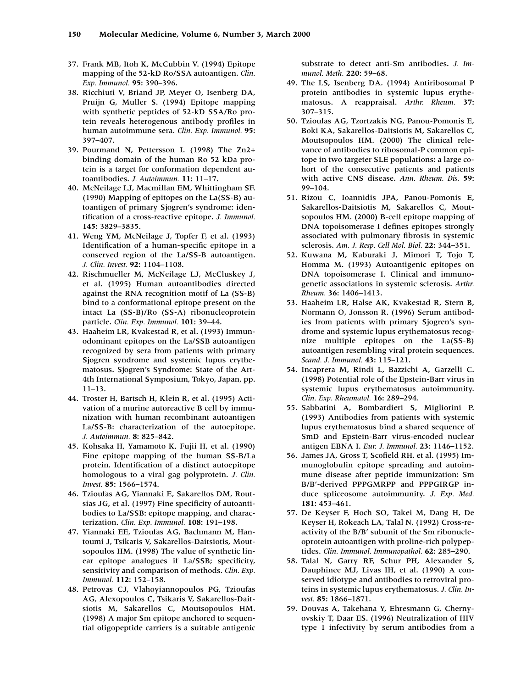- 37. Frank MB, Itoh K, McCubbin V. (1994) Epitope mapping of the 52-kD Ro/SSA autoantigen. *Clin. Exp. Immunol.* **95:** 390–396.
- 38. Ricchiuti V, Briand JP, Meyer O, Isenberg DA, Pruijn G, Muller S. (1994) Epitope mapping with synthetic peptides of 52-kD SSA/Ro protein reveals heterogenous antibody profiles in human autoimmune sera. *Clin. Exp. Immunol.* **95:** 397–407.
- 39. Pourmand N, Pettersson I. (1998) The Zn2+ binding domain of the human Ro 52 kDa protein is a target for conformation dependent autoantibodies. *J. Autoimmun.* **11:** 11–17.
- 40. McNeilage LJ, Macmillan EM, Whittingham SF. (1990) Mapping of epitopes on the La(SS-B) autoantigen of primary Sjogren's syndrome: identification of a cross-reactive epitope. *J. Immunol.* **145:** 3829–3835.
- 41. Weng YM, McNeilage J, Topfer F, et al. (1993) Identification of a human-specific epitope in a conserved region of the La/SS-B autoantigen. *J. Clin. Invest.* **92:** 1104–1108.
- 42. Rischmueller M, McNeilage LJ, McCluskey J, et al. (1995) Human autoantibodies directed against the RNA recognition motif of La (SS-B) bind to a conformational epitope present on the intact La (SS-B)/Ro (SS-A) ribonucleoprotein particle. *Clin. Exp. Immunol.* **101:** 39–44.
- 43. Haaheim LR, Kvakestad R, et al. (1993) Immunodominant epitopes on the La/SSB autoantigen recognized by sera from patients with primary Sjogren syndrome and systemic lupus erythematosus. Sjogren's Syndrome: State of the Art-4th International Symposium, Tokyo, Japan, pp. 11–13.
- 44. Troster H, Bartsch H, Klein R, et al. (1995) Activation of a murine autoreactive B cell by immunization with human recombinant autoantigen La/SS-B: characterization of the autoepitope. *J. Autoimmun.* **8:** 825–842.
- 45. Kohsaka H, Yamamoto K, Fujii H, et al. (1990) Fine epitope mapping of the human SS-B/La protein. Identification of a distinct autoepitope homologous to a viral gag polyprotein. *J. Clin. Invest.* **85:** 1566–1574.
- 46. Tzioufas AG, Yiannaki E, Sakarellos DM, Routsias JG, et al. (1997) Fine specificity of autoantibodies to La/SSB: epitope mapping, and characterization. *Clin. Exp. Immunol.* **108:** 191–198.
- 47. Yiannaki EE, Tzioufas AG, Bachmann M, Hantoumi J, Tsikaris V, Sakarellos-Daitsiotis, Moutsopoulos HM. (1998) The value of synthetic linear epitope analogues if La/SSB; specificity, sensitivity and comparison of methods. *Clin. Exp. Immunol.* **112:** 152–158.
- 48. Petrovas CJ, Vlahoyiannopoulos PG, Tzioufas AG, Alexopoulos C, Tsikaris V, Sakarellos-Daitsiotis M, Sakarellos C, Moutsopoulos HM. (1998) A major Sm epitope anchored to sequential oligopeptide carriers is a suitable antigenic

substrate to detect anti-Sm antibodies. *J. Immunol. Meth.* **220:** 59–68.

- 49. The LS, Isenberg DA. (1994) Antiribosomal P protein antibodies in systemic lupus erythematosus. A reappraisal. *Arthr. Rheum.* **37:** 307–315.
- 50. Tzioufas AG, Tzortzakis NG, Panou-Pomonis E, Boki KA, Sakarellos-Daitsiotis M, Sakarellos C, Moutsopoulos HM. (2000) The clinical relevance of antibodies to ribosomal-P common epitope in two targeter SLE populations: a large cohort of the consecutive patients and patients with active CNS disease. *Ann. Rheum. Dis.* **59:** 99–104.
- 51. Rizou C, Ioannidis JPA, Panou-Pomonis E, Sakarellos-Daitsiotis M, Sakarellos C, Moutsopoulos HM. (2000) B-cell epitope mapping of DNA topoisomerase I defines epitopes strongly associated with pulmonary fibrosis in systemic sclerosis. *Am. J. Resp. Cell Mol. Biol.* **22:** 344–351.
- 52. Kuwana M, Kaburaki J, Mimori T, Tojo T, Homma M. (1993) Autoantigenic epitopes on DNA topoisomerase I. Clinical and immunogenetic associations in systemic sclerosis. *Arthr. Rheum.* **36:** 1406–1413.
- 53. Haaheim LR, Halse AK, Kvakestad R, Stern B, Normann O, Jonsson R. (1996) Serum antibodies from patients with primary Sjogren's syndrome and systemic lupus erythematosus recognize multiple epitopes on the La(SS-B) autoantigen resembling viral protein sequences. *Scand. J. Immunol.* **43:** 115–121.
- 54. Incaprera M, Rindi L, Bazzichi A, Garzelli C. (1998) Potential role of the Epstein-Barr virus in systemic lupus erythematosus autoimmunity. *Clin. Exp. Rheumatol.* **16:** 289–294.
- 55. Sabbatini A, Bombardieri S, Migliorini P. (1993) Antibodies from patients with systemic lupus erythematosus bind a shared sequence of SmD and Epstein-Barr virus-encoded nuclear antigen EBNA I. *Eur. J. Immunol.* **23:** 1146–1152.
- 56. James JA, Gross T, Scofield RH, et al. (1995) Immunoglobulin epitope spreading and autoimmune disease after peptide immunization: Sm B/B'-derived PPPGMRPP and PPPGIRGP induce spliceosome autoimmunity. *J. Exp. Med.* **181:** 453–461.
- 57. De Keyser F, Hoch SO, Takei M, Dang H, De Keyser H, Rokeach LA, Talal N. (1992) Cross-reactivity of the B/B' subunit of the Sm ribonucleoprotein autoantigen with proline-rich polypeptides. *Clin. Immunol. Immunopathol.* **62:** 285–290.
- 58. Talal N, Garry RF, Schur PH, Alexander S, Dauphinee MJ, Livas IH, et al. (1990) A conserved idiotype and antibodies to retroviral proteins in systemic lupus erythematosus. *J. Clin. Invest.* **85:** 1866–1871.
- 59. Douvas A, Takehana Y, Ehresmann G, Chernyovskiy T, Daar ES. (1996) Neutralization of HIV type 1 infectivity by serum antibodies from a